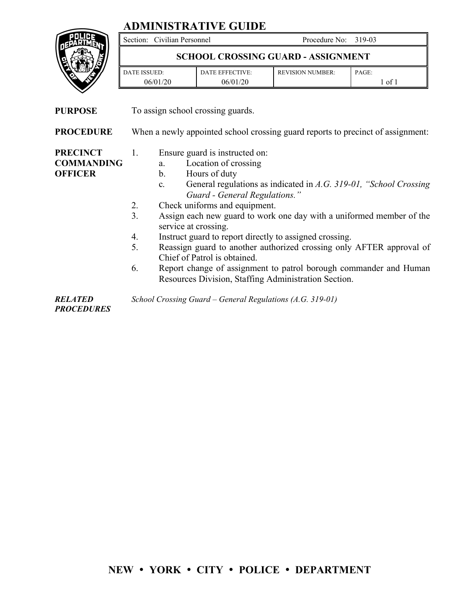## **ADMINISTRATIVE GUIDE**



Section: Civilian Personnel Procedure No: 319-03

## **SCHOOL CROSSING GUARD - ASSIGNMENT**

| <b>ISSUED:</b><br>ATE. | DATE EFFECTIVE: | <b>REVISION NUMBER:</b> | PAGE: |
|------------------------|-----------------|-------------------------|-------|
| 06/01/20               | 06/01/<br>/20   |                         | 0Ī    |

**PURPOSE** To assign school crossing guards.

**PROCEDURE** When a newly appointed school crossing guard reports to precinct of assignment:

**PRECINCT COMMANDING OFFICER** 

- 1. Ensure guard is instructed on:
	- a. Location of crossing
		- b. Hours of duty
		- c. General regulations as indicated in *A.G. 319-01, "School Crossing Guard - General Regulations."*
- 2. Check uniforms and equipment.
- 3. Assign each new guard to work one day with a uniformed member of the service at crossing.
- 4. Instruct guard to report directly to assigned crossing.
- 5. Reassign guard to another authorized crossing only AFTER approval of Chief of Patrol is obtained.
- 6. Report change of assignment to patrol borough commander and Human Resources Division, Staffing Administration Section.

*RELATED School Crossing Guard – General Regulations (A.G. 319-01)*

*PROCEDURES* 

**NEW YORK CITY POLICE DEPARTMENT**